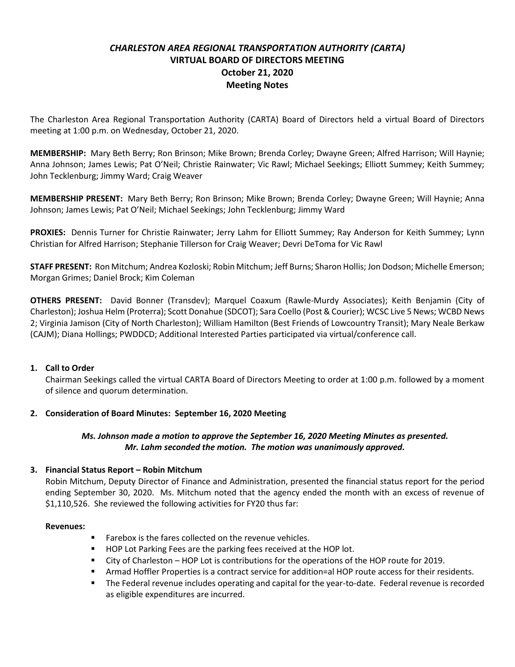# *CHARLESTON AREA REGIONAL TRANSPORTATION AUTHORITY (CARTA)* **VIRTUAL BOARD OF DIRECTORS MEETING October 21, 2020 Meeting Notes**

The Charleston Area Regional Transportation Authority (CARTA) Board of Directors held a virtual Board of Directors meeting at 1:00 p.m. on Wednesday, October 21, 2020.

**MEMBERSHIP:** Mary Beth Berry; Ron Brinson; Mike Brown; Brenda Corley; Dwayne Green; Alfred Harrison; Will Haynie; Anna Johnson; James Lewis; Pat O'Neil; Christie Rainwater; Vic Rawl; Michael Seekings; Elliott Summey; Keith Summey; John Tecklenburg; Jimmy Ward; Craig Weaver

**MEMBERSHIP PRESENT:** Mary Beth Berry; Ron Brinson; Mike Brown; Brenda Corley; Dwayne Green; Will Haynie; Anna Johnson; James Lewis; Pat O'Neil; Michael Seekings; John Tecklenburg; Jimmy Ward

**PROXIES:** Dennis Turner for Christie Rainwater; Jerry Lahm for Elliott Summey; Ray Anderson for Keith Summey; Lynn Christian for Alfred Harrison; Stephanie Tillerson for Craig Weaver; Devri DeToma for Vic Rawl

**STAFF PRESENT:** Ron Mitchum; Andrea Kozloski; Robin Mitchum; Jeff Burns; Sharon Hollis; Jon Dodson; Michelle Emerson; Morgan Grimes; Daniel Brock; Kim Coleman

**OTHERS PRESENT:** David Bonner (Transdev); Marquel Coaxum (Rawle-Murdy Associates); Keith Benjamin (City of Charleston); Joshua Helm (Proterra); Scott Donahue (SDCOT); Sara Coello (Post & Courier); WCSC Live 5 News; WCBD News 2; Virginia Jamison (City of North Charleston); William Hamilton (Best Friends of Lowcountry Transit); Mary Neale Berkaw (CAJM); Diana Hollings; PWDDCD; Additional Interested Parties participated via virtual/conference call.

### **1. Call to Order**

Chairman Seekings called the virtual CARTA Board of Directors Meeting to order at 1:00 p.m. followed by a moment of silence and quorum determination.

### **2. Consideration of Board Minutes: September 16, 2020 Meeting**

### *Ms. Johnson made a motion to approve the September 16, 2020 Meeting Minutes as presented. Mr. Lahm seconded the motion. The motion was unanimously approved.*

### **3. Financial Status Report – Robin Mitchum**

Robin Mitchum, Deputy Director of Finance and Administration, presented the financial status report for the period ending September 30, 2020. Ms. Mitchum noted that the agency ended the month with an excess of revenue of \$1,110,526. She reviewed the following activities for FY20 thus far:

### **Revenues:**

- Farebox is the fares collected on the revenue vehicles.
- HOP Lot Parking Fees are the parking fees received at the HOP lot.
- City of Charleston HOP Lot is contributions for the operations of the HOP route for 2019.
- Armad Hoffler Properties is a contract service for addition=al HOP route access for their residents.
- **■** The Federal revenue includes operating and capital for the year-to-date. Federal revenue is recorded as eligible expenditures are incurred.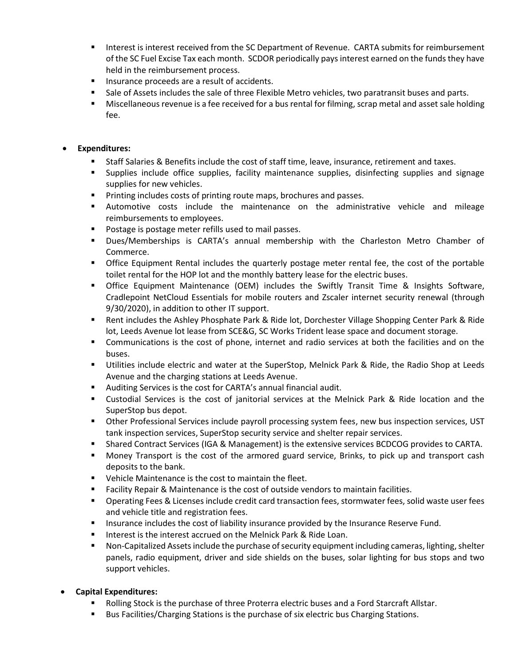- Interest is interest received from the SC Department of Revenue. CARTA submits for reimbursement of the SC Fuel Excise Tax each month. SCDOR periodically pays interest earned on the funds they have held in the reimbursement process.
- Insurance proceeds are a result of accidents.
- **■** Sale of Assets includes the sale of three Flexible Metro vehicles, two paratransit buses and parts.
- Miscellaneous revenue is a fee received for a bus rental for filming, scrap metal and asset sale holding fee.

### • **Expenditures:**

- Staff Salaries & Benefits include the cost of staff time, leave, insurance, retirement and taxes.
- Supplies include office supplies, facility maintenance supplies, disinfecting supplies and signage supplies for new vehicles.
- Printing includes costs of printing route maps, brochures and passes.
- Automotive costs include the maintenance on the administrative vehicle and mileage reimbursements to employees.
- Postage is postage meter refills used to mail passes.
- Dues/Memberships is CARTA's annual membership with the Charleston Metro Chamber of Commerce.
- **•** Office Equipment Rental includes the quarterly postage meter rental fee, the cost of the portable toilet rental for the HOP lot and the monthly battery lease for the electric buses.
- **•** Office Equipment Maintenance (OEM) includes the Swiftly Transit Time & Insights Software, Cradlepoint NetCloud Essentials for mobile routers and Zscaler internet security renewal (through 9/30/2020), in addition to other IT support.
- Rent includes the Ashley Phosphate Park & Ride lot, Dorchester Village Shopping Center Park & Ride lot, Leeds Avenue lot lease from SCE&G, SC Works Trident lease space and document storage.
- Communications is the cost of phone, internet and radio services at both the facilities and on the buses.
- **■** Utilities include electric and water at the SuperStop, Melnick Park & Ride, the Radio Shop at Leeds Avenue and the charging stations at Leeds Avenue.
- Auditing Services is the cost for CARTA's annual financial audit.
- Custodial Services is the cost of janitorial services at the Melnick Park & Ride location and the SuperStop bus depot.
- **•** Other Professional Services include payroll processing system fees, new bus inspection services, UST tank inspection services, SuperStop security service and shelter repair services.
- **EXECT ACT SHARE CONTRACT SERVICES (IGA & Management) is the extensive services BCDCOG provides to CARTA.**
- Money Transport is the cost of the armored guard service, Brinks, to pick up and transport cash deposits to the bank.
- Vehicle Maintenance is the cost to maintain the fleet.
- Facility Repair & Maintenance is the cost of outside vendors to maintain facilities.
- Operating Fees & Licenses include credit card transaction fees, stormwater fees, solid waste user fees and vehicle title and registration fees.
- **■** Insurance includes the cost of liability insurance provided by the Insurance Reserve Fund.
- Interest is the interest accrued on the Melnick Park & Ride Loan.
- Non-Capitalized Assets include the purchase of security equipment including cameras, lighting, shelter panels, radio equipment, driver and side shields on the buses, solar lighting for bus stops and two support vehicles.
- **Capital Expenditures:**
	- Rolling Stock is the purchase of three Proterra electric buses and a Ford Starcraft Allstar.
	- Bus Facilities/Charging Stations is the purchase of six electric bus Charging Stations.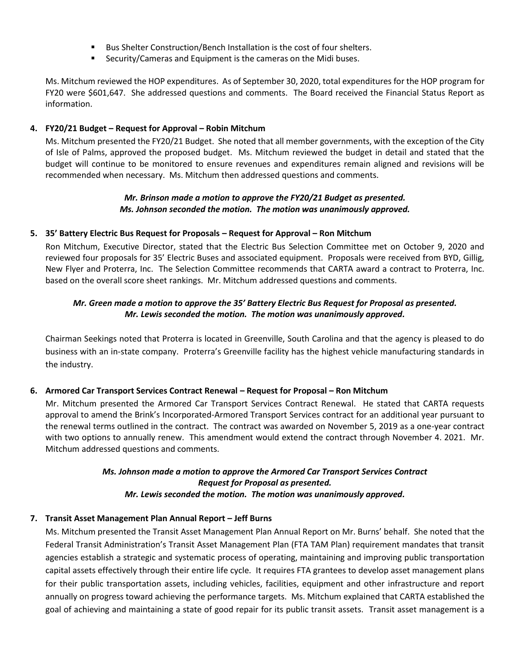- Bus Shelter Construction/Bench Installation is the cost of four shelters.
- Security/Cameras and Equipment is the cameras on the Midi buses.

Ms. Mitchum reviewed the HOP expenditures. As of September 30, 2020, total expenditures for the HOP program for FY20 were \$601,647. She addressed questions and comments. The Board received the Financial Status Report as information.

### **4. FY20/21 Budget – Request for Approval – Robin Mitchum**

Ms. Mitchum presented the FY20/21 Budget. She noted that all member governments, with the exception of the City of Isle of Palms, approved the proposed budget. Ms. Mitchum reviewed the budget in detail and stated that the budget will continue to be monitored to ensure revenues and expenditures remain aligned and revisions will be recommended when necessary. Ms. Mitchum then addressed questions and comments.

### *Mr. Brinson made a motion to approve the FY20/21 Budget as presented. Ms. Johnson seconded the motion. The motion was unanimously approved.*

### **5. 35' Battery Electric Bus Request for Proposals – Request for Approval – Ron Mitchum**

Ron Mitchum, Executive Director, stated that the Electric Bus Selection Committee met on October 9, 2020 and reviewed four proposals for 35' Electric Buses and associated equipment. Proposals were received from BYD, Gillig, New Flyer and Proterra, Inc. The Selection Committee recommends that CARTA award a contract to Proterra, Inc. based on the overall score sheet rankings. Mr. Mitchum addressed questions and comments.

### *Mr. Green made a motion to approve the 35' Battery Electric Bus Request for Proposal as presented. Mr. Lewis seconded the motion. The motion was unanimously approved.*

Chairman Seekings noted that Proterra is located in Greenville, South Carolina and that the agency is pleased to do business with an in-state company. Proterra's Greenville facility has the highest vehicle manufacturing standards in the industry.

### **6. Armored Car Transport Services Contract Renewal – Request for Proposal – Ron Mitchum**

Mr. Mitchum presented the Armored Car Transport Services Contract Renewal. He stated that CARTA requests approval to amend the Brink's Incorporated-Armored Transport Services contract for an additional year pursuant to the renewal terms outlined in the contract. The contract was awarded on November 5, 2019 as a one-year contract with two options to annually renew. This amendment would extend the contract through November 4. 2021. Mr. Mitchum addressed questions and comments.

## *Ms. Johnson made a motion to approve the Armored Car Transport Services Contract Request for Proposal as presented. Mr. Lewis seconded the motion. The motion was unanimously approved.*

## **7. Transit Asset Management Plan Annual Report – Jeff Burns**

Ms. Mitchum presented the Transit Asset Management Plan Annual Report on Mr. Burns' behalf. She noted that the Federal Transit Administration's Transit Asset Management Plan (FTA TAM Plan) requirement mandates that transit agencies establish a strategic and systematic process of operating, maintaining and improving public transportation capital assets effectively through their entire life cycle. It requires FTA grantees to develop asset management plans for their public transportation assets, including vehicles, facilities, equipment and other infrastructure and report annually on progress toward achieving the performance targets. Ms. Mitchum explained that CARTA established the goal of achieving and maintaining a state of good repair for its public transit assets. Transit asset management is a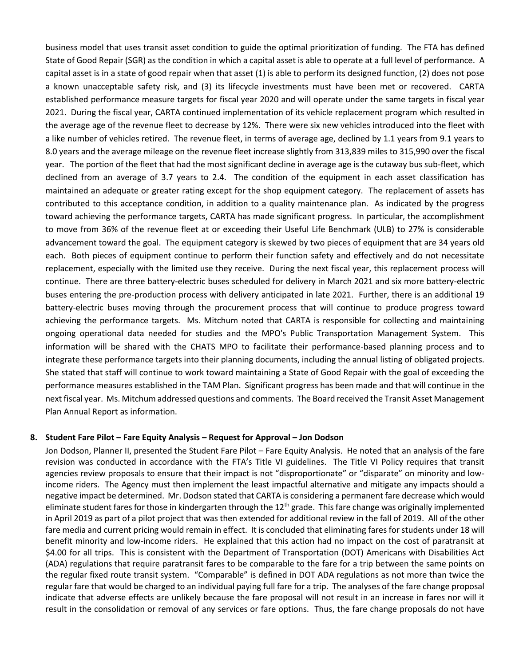business model that uses transit asset condition to guide the optimal prioritization of funding. The FTA has defined State of Good Repair (SGR) as the condition in which a capital asset is able to operate at a full level of performance. A capital asset is in a state of good repair when that asset (1) is able to perform its designed function, (2) does not pose a known unacceptable safety risk, and (3) its lifecycle investments must have been met or recovered. CARTA established performance measure targets for fiscal year 2020 and will operate under the same targets in fiscal year 2021. During the fiscal year, CARTA continued implementation of its vehicle replacement program which resulted in the average age of the revenue fleet to decrease by 12%. There were six new vehicles introduced into the fleet with a like number of vehicles retired. The revenue fleet, in terms of average age, declined by 1.1 years from 9.1 years to 8.0 years and the average mileage on the revenue fleet increase slightly from 313,839 miles to 315,990 over the fiscal year. The portion of the fleet that had the most significant decline in average age is the cutaway bus sub-fleet, which declined from an average of 3.7 years to 2.4. The condition of the equipment in each asset classification has maintained an adequate or greater rating except for the shop equipment category. The replacement of assets has contributed to this acceptance condition, in addition to a quality maintenance plan. As indicated by the progress toward achieving the performance targets, CARTA has made significant progress. In particular, the accomplishment to move from 36% of the revenue fleet at or exceeding their Useful Life Benchmark (ULB) to 27% is considerable advancement toward the goal. The equipment category is skewed by two pieces of equipment that are 34 years old each. Both pieces of equipment continue to perform their function safety and effectively and do not necessitate replacement, especially with the limited use they receive. During the next fiscal year, this replacement process will continue. There are three battery-electric buses scheduled for delivery in March 2021 and six more battery-electric buses entering the pre-production process with delivery anticipated in late 2021. Further, there is an additional 19 battery-electric buses moving through the procurement process that will continue to produce progress toward achieving the performance targets. Ms. Mitchum noted that CARTA is responsible for collecting and maintaining ongoing operational data needed for studies and the MPO's Public Transportation Management System. This information will be shared with the CHATS MPO to facilitate their performance-based planning process and to integrate these performance targets into their planning documents, including the annual listing of obligated projects. She stated that staff will continue to work toward maintaining a State of Good Repair with the goal of exceeding the performance measures established in the TAM Plan. Significant progress has been made and that will continue in the next fiscal year. Ms. Mitchum addressed questions and comments. The Board received the Transit Asset Management Plan Annual Report as information.

### **8. Student Fare Pilot – Fare Equity Analysis – Request for Approval – Jon Dodson**

Jon Dodson, Planner II, presented the Student Fare Pilot – Fare Equity Analysis. He noted that an analysis of the fare revision was conducted in accordance with the FTA's Title VI guidelines. The Title VI Policy requires that transit agencies review proposals to ensure that their impact is not "disproportionate" or "disparate" on minority and lowincome riders. The Agency must then implement the least impactful alternative and mitigate any impacts should a negative impact be determined. Mr. Dodson stated that CARTA is considering a permanent fare decrease which would eliminate student fares for those in kindergarten through the 12<sup>th</sup> grade. This fare change was originally implemented in April 2019 as part of a pilot project that was then extended for additional review in the fall of 2019. All of the other fare media and current pricing would remain in effect. It is concluded that eliminating fares for students under 18 will benefit minority and low-income riders. He explained that this action had no impact on the cost of paratransit at \$4.00 for all trips. This is consistent with the Department of Transportation (DOT) Americans with Disabilities Act (ADA) regulations that require paratransit fares to be comparable to the fare for a trip between the same points on the regular fixed route transit system. "Comparable" is defined in DOT ADA regulations as not more than twice the regular fare that would be charged to an individual paying full fare for a trip. The analyses of the fare change proposal indicate that adverse effects are unlikely because the fare proposal will not result in an increase in fares nor will it result in the consolidation or removal of any services or fare options. Thus, the fare change proposals do not have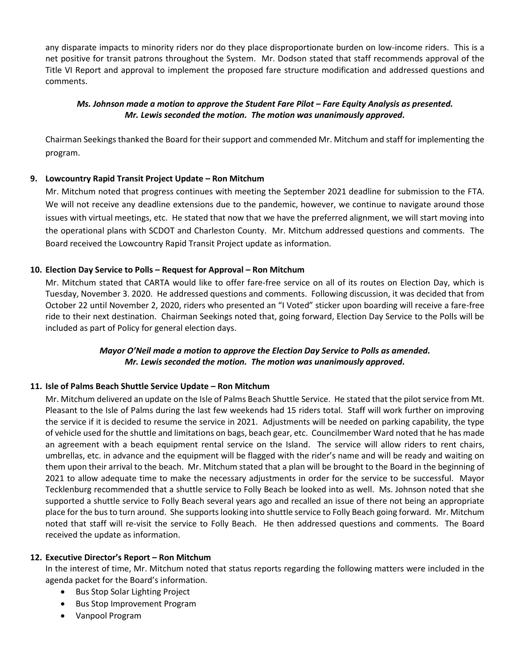any disparate impacts to minority riders nor do they place disproportionate burden on low-income riders. This is a net positive for transit patrons throughout the System. Mr. Dodson stated that staff recommends approval of the Title VI Report and approval to implement the proposed fare structure modification and addressed questions and comments.

## *Ms. Johnson made a motion to approve the Student Fare Pilot – Fare Equity Analysis as presented. Mr. Lewis seconded the motion. The motion was unanimously approved.*

Chairman Seekings thanked the Board for their support and commended Mr. Mitchum and staff for implementing the program.

## **9. Lowcountry Rapid Transit Project Update – Ron Mitchum**

Mr. Mitchum noted that progress continues with meeting the September 2021 deadline for submission to the FTA. We will not receive any deadline extensions due to the pandemic, however, we continue to navigate around those issues with virtual meetings, etc. He stated that now that we have the preferred alignment, we will start moving into the operational plans with SCDOT and Charleston County. Mr. Mitchum addressed questions and comments. The Board received the Lowcountry Rapid Transit Project update as information.

## **10. Election Day Service to Polls – Request for Approval – Ron Mitchum**

Mr. Mitchum stated that CARTA would like to offer fare-free service on all of its routes on Election Day, which is Tuesday, November 3. 2020. He addressed questions and comments. Following discussion, it was decided that from October 22 until November 2, 2020, riders who presented an "I Voted" sticker upon boarding will receive a fare-free ride to their next destination. Chairman Seekings noted that, going forward, Election Day Service to the Polls will be included as part of Policy for general election days.

## *Mayor O'Neil made a motion to approve the Election Day Service to Polls as amended. Mr. Lewis seconded the motion. The motion was unanimously approved.*

## **11. Isle of Palms Beach Shuttle Service Update – Ron Mitchum**

Mr. Mitchum delivered an update on the Isle of Palms Beach Shuttle Service. He stated that the pilot service from Mt. Pleasant to the Isle of Palms during the last few weekends had 15 riders total. Staff will work further on improving the service if it is decided to resume the service in 2021. Adjustments will be needed on parking capability, the type of vehicle used for the shuttle and limitations on bags, beach gear, etc. Councilmember Ward noted that he has made an agreement with a beach equipment rental service on the Island. The service will allow riders to rent chairs, umbrellas, etc. in advance and the equipment will be flagged with the rider's name and will be ready and waiting on them upon their arrival to the beach. Mr. Mitchum stated that a plan will be brought to the Board in the beginning of 2021 to allow adequate time to make the necessary adjustments in order for the service to be successful. Mayor Tecklenburg recommended that a shuttle service to Folly Beach be looked into as well. Ms. Johnson noted that she supported a shuttle service to Folly Beach several years ago and recalled an issue of there not being an appropriate place for the bus to turn around. She supports looking into shuttle service to Folly Beach going forward. Mr. Mitchum noted that staff will re-visit the service to Folly Beach. He then addressed questions and comments. The Board received the update as information.

## **12. Executive Director's Report – Ron Mitchum**

In the interest of time, Mr. Mitchum noted that status reports regarding the following matters were included in the agenda packet for the Board's information.

- Bus Stop Solar Lighting Project
- Bus Stop Improvement Program
- Vanpool Program